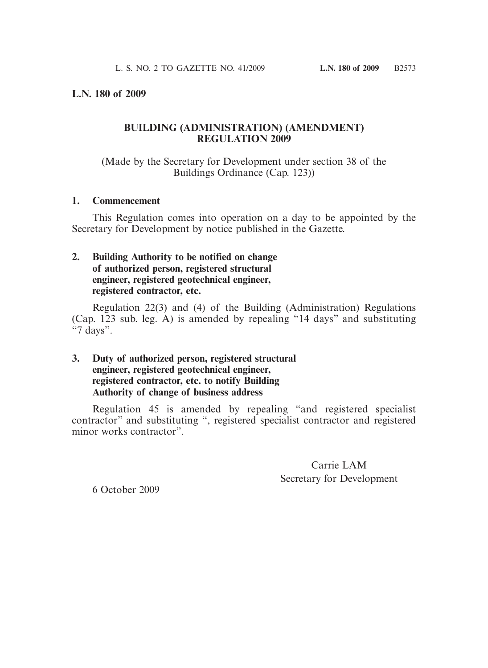## **L.N. 180 of 2009**

## **BUILDING (ADMINISTRATION) (AMENDMENT) REGULATION 2009**

(Made by the Secretary for Development under section 38 of the Buildings Ordinance (Cap. 123))

#### **1. Commencement**

 This Regulation comes into operation on a day to be appointed by the Secretary for Development by notice published in the Gazette.

# **2. Building Authority to be notified on change of authorized person, registered structural engineer, registered geotechnical engineer, registered contractor, etc.**

 Regulation 22(3) and (4) of the Building (Administration) Regulations (Cap. 123 sub. leg. A) is amended by repealing "14 days" and substituting  $\ddot{\cdot}$  7 days".

# **3. Duty of authorized person, registered structural engineer, registered geotechnical engineer, registered contractor, etc. to notify Building Authority of change of business address**

 Regulation 45 is amended by repealing "and registered specialist contractor" and substituting ", registered specialist contractor and registered minor works contractor".

> Carrie LAM Secretary for Development

6 October 2009